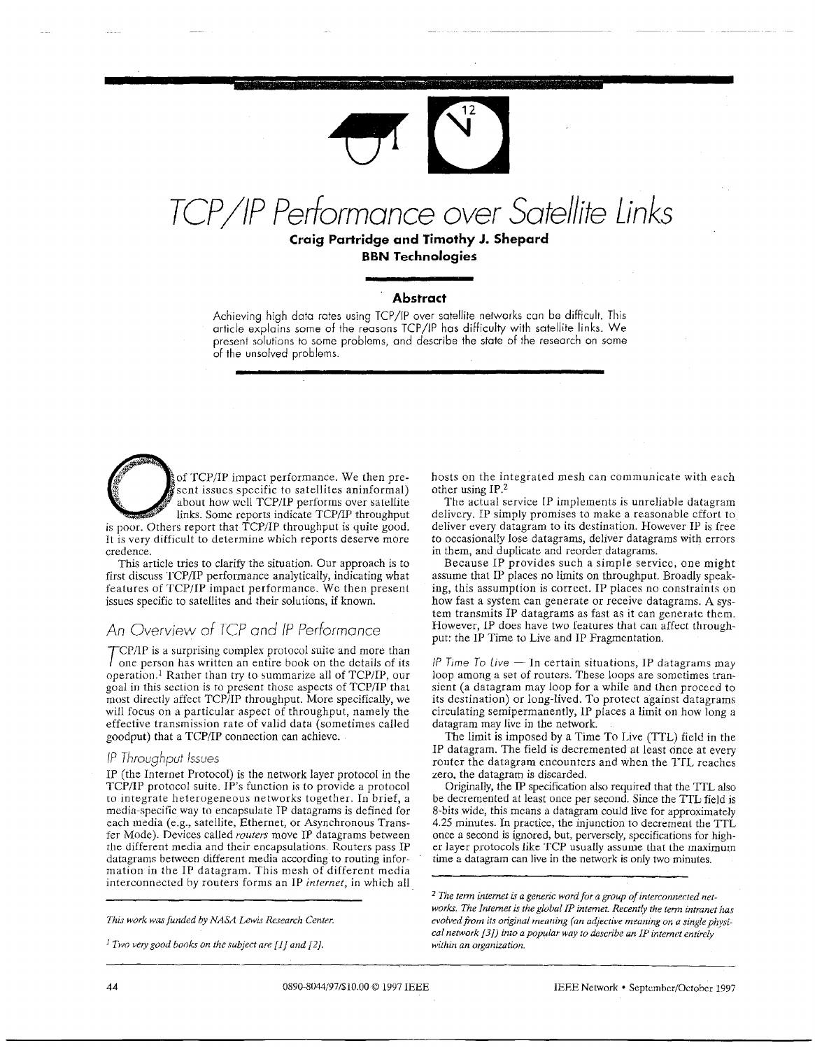# Tep *liP Performance over Satellite Links*

**Craig Partridge and Timothy J. Shepard BBN Technologies** 

## . **Abstract**

Achieving high data rates using TCP/IP over satellite networks can be difficult. This article explains some of the reasons TCP *liP* has difficulty with satellite links. We present solutions to some problems, and describe the state of the research on some of the unsolved problems.

of TCP/IP impact performance. We then present issues specific to satellites aninformal) about how well TCP/IP performs over satellite links. Some reports indicate TCP/IP throughput is poor. Others report that TCP/IP throughput is quite good. It is very difficult to determine which reports deserve more

credence. This article tries to clarify the situation. Our approach is to first discuss TCP/IP performance analytically, indicating what features of TCP/IP impact performance. We then present issues specific to satellites and their solutions, if known.

# An Overview of TCP and IP Performance

T*CP/IP* is a surprising complex protocol suite and more than one person has written an entire book on the details of its operation. 1 Rather than try to summarize all of TCP/IP, our goal in this section is to present those aspects of TCP/IP that most directly affect TCP/IP throughput. More specifically, we will focus on a particular aspect of throughput, namely the effective transmission rate of valid data (sometimes called goodput) that a TCP/IP connection can achieve.

## *IP Throughput Issues*

IP (the Internet Protocol) is the network layer protocol in the TCP/IP protocol suite. IP's function is to provide a protocol to integrate heterogeneous networks together. In brief, a media-specific way to encapsulate IP datagrams is defined for each media (e.g., satellite, Ethernet, or Asynchronous Transfer Mode). Devices called *routers* move IP datagrams between the different media and their encapsulations. Routers pass IP datagrams between different media according to routing information in the IP datagram. This mesh of different media interconnected by routers forms an IP *internet,* in which all.

*This work was funded by NASA Lewis Research Center.* 

<sup>1</sup>*Two very good books on the subject are* [ll *and* [2j.

hosts on the integrated mesh can communicate with each other using IP.2

The actual service IP implements is unreliable datagram delivery. IP simply promises to make a reasonable effort to deliver every datagram to its destination. However IP is free to occasionally lose datagrams, deliver datagrams with errors in them, and duplicate and reorder datagrams.

Because IP provides such a simple service, one might assume that IP places no limits on throughput. Broadly speaking, this assumption is correct. IP places no constraints on how fast a system can generate or receive datagrams. A system transmits IP datagrams as fast as it can generate them. However, IP does have two features that can affect throughput: the IP Time to Live and IP Fragmentation.

IP Time To Live  $-$  In certain situations, IP datagrams may loop among a set of routers. These loops are sometimes transient (a datagram may loop for a while and then proceed to its destination) or long-lived. To protect against datagrams circulating semipermanently, IP places a limit on how long a datagram may live in the network.

The limit is imposed by a Time To Live (TTL) field in the IP datagram. The field is decremented at least once at every router the datagram encounters and when the TIL reaches zero, the datagram is discarded.

Originally, the IF specification also required that the TTL also be decremented at least once per second. Since the TTL field is 8-bits wide, this means a datagram could live for approximately 4.25 minutes. In practice, the injunction to decrement the TTL once a second is ignored, but, perversely, specifications for higher layer protocols like TCP usually assume that the maximum time a datagram can live in the network is only two minutes.

*<sup>2</sup> The tenn internet is a generic word for a group of interconnected networks. The internet is the global IP internet. Recently the tenn intranet has evolved from its original meaning (an adjective meaning on a single physical network [3l) into a popular way to describe an IP internet entirely*   $within$  an organization.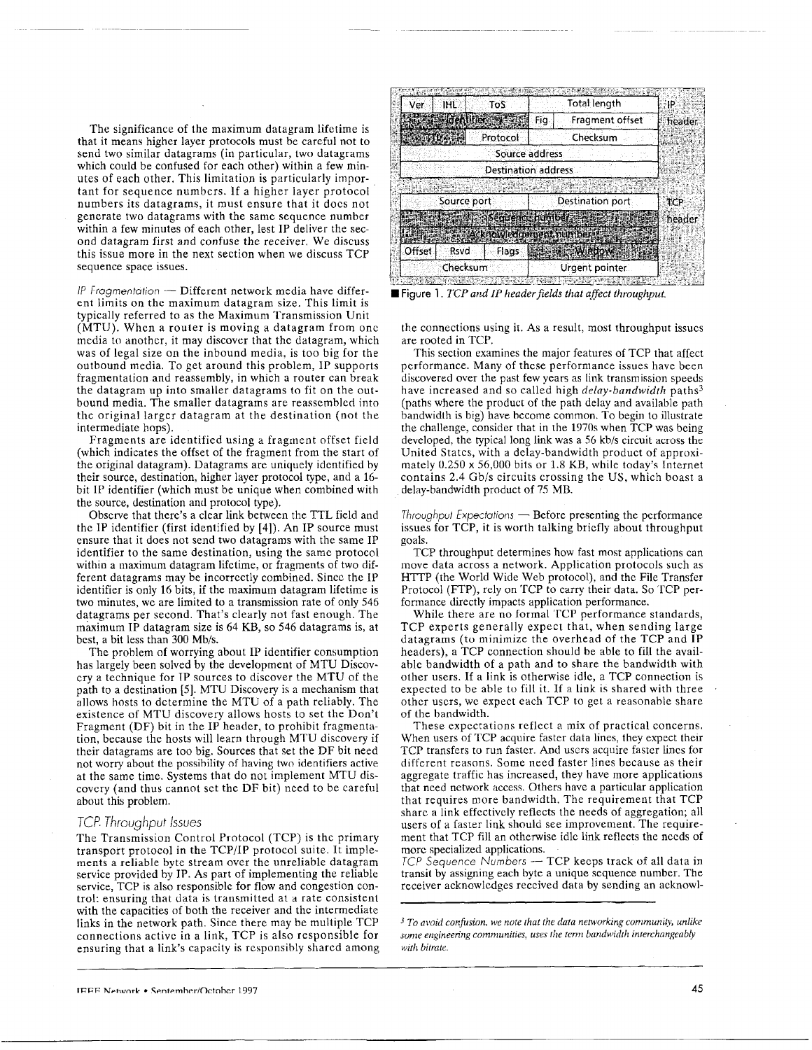The significance of the maximum datagram lifetime is that it means higher layer protocols must be careful not to send two similar datagrams (in particular, two datagrams which could be confused for each other) within a few minutes of each other. This limitation is particularly important for sequence numbers. If a higher layer protocol· numbers its datagrams, it must ensure that it does not generate two datagrams with the same sequence number within a few minutes of each other, lest IP deliver the second datagram first and confuse the receiver. We discuss this issue more in the next section when we discuss TCP sequence space issues.

*IP fragmentation* — Different network media have different limits on the maximum datagram size. This limit is

typically referred to as the Maximum Transmission Unit (MTU). When a router is moving a datagram from one media to another, it may discover that the datagram, which was of legal size on the inbound media, is too big for the outbound media. To get around this problem, IP supports fragmentation and reassembly, in which a router can break the datagram up into smaller datagrams to fit on the outbound media. The smaller datagrams are reassemhled into the original larger datagram at the destination (not the intermediate hops).

Fragments are identified using a fragment offset field (which indicates the offset of the fragment from the start of the original datagram). Datagrams are uniquely identified by their source, destination, higher layer protocol type, and a 16 bit IP identifier (which must be unique when combined with the source, destination and protocol type).

Observe that there's a clear link between the TTL field and the IP identifier (first identified by [41). An IP source must ensure that it does not send two datagrams with the same IP identifier to the same destination, using the same protocol within a maximum datagram lifetime, or fragments of two different datagrams may be incorrectly combined. Since the IP identifier is only 16 bits, if the maximum datagram lifetime is two minutes, we are limited to a transmission rate of only 546 datagrams per second. That's clearly not fast enough. The maximum IP datagram size is 64 KB, so 546 datagrams is, at best, a bit less than 300 Mb/s.

The problem of worrying about IP identifier consumption has largely been solved by the development of MTU Discovery a technique for IP sources to discover the MTU of the path to a destination [5]. MTU Discovery is a mechanism that allows hosts to determine the MTU of a path reliably. The existence of MTU discovery allows hosts to set the Don't Fragment (DF) bit in the IP header, to prohibit fragmentation, because the hosts will learn through MTU discovery if their datagrams are too big. Sources that set the DF bit need not worry about the possihility of having two identifiers active at the same time. Systems that do not implement MTU discovery (and thus cannot set the DF bit) need to be careful about this problem.

## *Tep. Throughput Issues*

The Transmission Control Protocol (TCP) is the primary transport protocol in the *TCP/IP* protocol suite. It implements a reliable byte stream over the unreliable datagram service provided by IP. As part of implementing the reliable service, TCP is also responsible for flow and congestion control: ensuring that data is transmitted at a rate consistent with the capacities of both the receiver and the intermediate links in the network path. Since there may be multiple TCP connections active in a link, TCP is also responsible for ensuring that a link's capacity is responsibly shared among



• Figure 1 . *TCP and IP header fields that affect throughput.* 

the connections using it. As a result, most throughput issues are rooted in TCP.

This section examines the major features of TCP that affect performance. Many of these performance issues have been discovered over the past few years as link transmission speeds have increased and so called high *delay-bandwidth* paths3 (paths where the product of the path delay and available path bandwidth is big) have become common. To begin to illustrate the challenge, consider that in the 1970s when TCP was being developed, the typical long link was a 56 kb/s circuit across the United States, with a delay-bandwidth product of approximately 0.250 x 56,000 bits or 1.8 KB, while today's Internet contains 2.4 Gb/s circuits crossing the US, which boast a delay-bandwidth product of 75 MB.

*Throughput Expectations* — Before presenting the performance issues for TCP, it is worth talking briefly about throughput goals.

TCP throughput determines how fast most applications can move data across a network. Application protocols such as HTTP (the World Wide Web protocol), and the File Transfer Protocol (FTP), rely on TCP to carry their data. So TCP performance directly impacts application performance.

While there are no formal TCP performance standards, TCP experts generally expect that, when sending large datagrams (to minimize the overhead of the TCP and IP headers), a TCP connection should be able to fill the available bandwidth of a path and to share the bandwidth with other users. If a link is otherwise idle, a TCP connection is expected to be able to fill it. If a link is shared with three other users, we expect each TCP to get a reasonable share of the bandwidth.

These expectations reflect a mix of practical concerns. When users of TCP acquire faster data lines, they expect their TCP transfers to run faster. And users acquire faster lines for different reasons. Some need faster lines because as their aggregate traffic has increased, they have more applications that need network access. Others have a particular application that requires more bandwidth. The requirement that TCP share a link effectively reflects the needs of aggregation; all users of a faster link should see improvement. The requirement that TCP fill an otherwise idle link reflects the needs of more specialized applications.

*TCP* Sequence Numbers - TCP keeps track of all data in transit by assigning each byte a unique sequence number. The receiver acknowledges received data by sending an acknowl-

<sup>&</sup>lt;sup>3</sup> To avoid confusion, we note that the data networking community, unlike *some engineering communities, uses the tenn bandwidth interchangeably with bitrate.*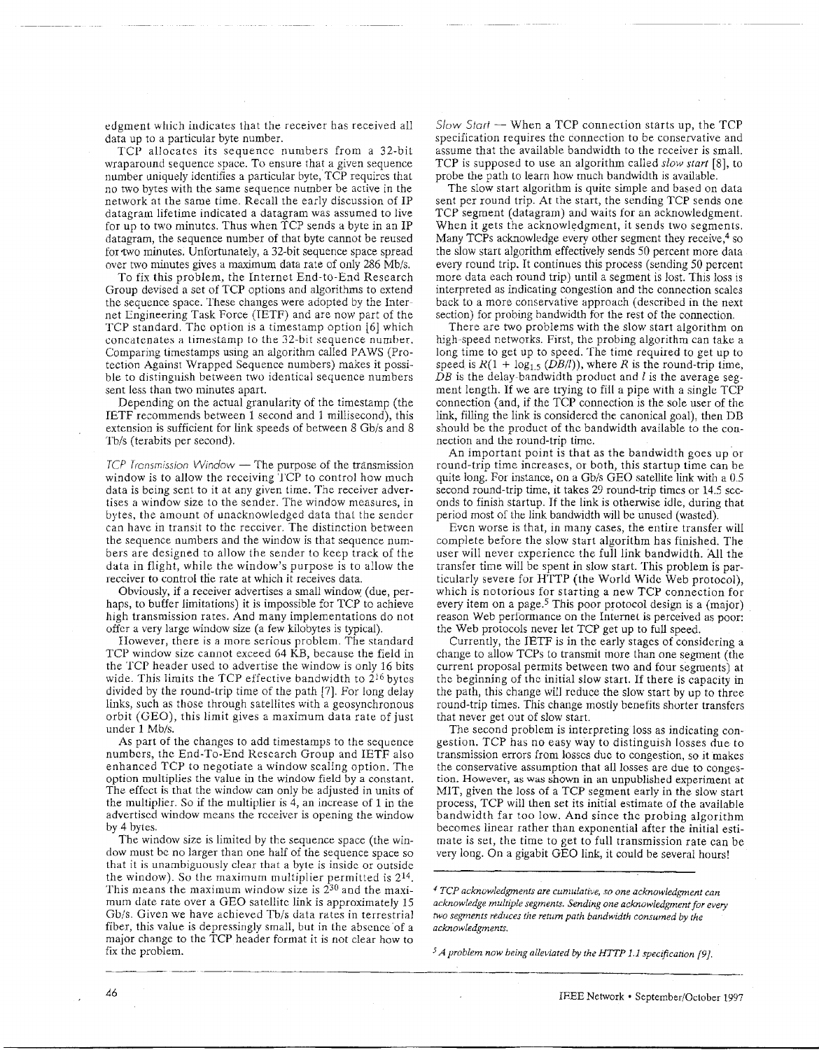edgment which indicates that the receiver has received all data up to a particular byte number.

TCP allocates its sequence numbers from a 32-bit wraparound sequence space. To ensure that a given sequence number uniquely identifies a particular byte, TCP requires that no two bytes with the same sequence number be active in the network at the same time. Recall the early discussion of IP datagram lifetime indicated a datagram was assumed to live for up to two minutes. Thus when TCP sends a byte in an IP datagram, the sequence number of that byte cannot be reused for two minutes. Unfortunately, a 32-bit sequence space spread over two minutes gives a maximum data rate of only 286 Mb/s.

To fix this problem, the Internet End-to-End Research Group devised a set of TCP options and algorithms to extend the sequence space. These changes were adopted by the Internet Engineering Task Force (IETF) and are now part of the TCP standard. The option is a timestamp option [6] which concatenates a timestamp to the 32-bit sequence number. Comparing timestamps using an algorithm called PAWS (Protection Against Wrapped Sequence numbers) makes it possible to distinguish between two identical sequence numbers sent less than two minutes apart.

Depending on the actual granularity of the timestamp (the IETF recommends between 1 second and 1 millisecond), this extension is sufficient for link speeds of between 8 *Gb/s* and 8 *This* (terabits per second).

TCP *Transmission Window* - The purpose of the transmission window is to allow the receiving TCP to control how much data is being sent to it at any given time. The receiver advertises a window size to the sender. The window measures, in bytes, the amount of unacknowledged data that the sender can have in transit to the receiver. The distinction between the sequence numbers and the window is that sequence numbers are designed to allow the sender to keep track of the data in flight, while the window's purpose is to allow the receiver to control the rate at which it receives data.

Obviously, if a receiver advertises a small window (due, perhaps, to buffer limitations) it is impossible for TCP to achieve high transmission rates. And many implementations do not offer a very large window size (a few kilobytes is typical).

However, there is a more serious problem. The standard TCP window size cannot exceed 64 KB, because the field in the TCP header used to advertise the window is only 16 bits wide. This limits the TCP effective bandwidth to 216 bytes divided by the round-trip time of the path [7]. For long delay links, such as those through satellites with a geosynchronous orbit (GEO), this limit gives a maximum data rate of just under 1 *Mb/s.* 

As part of the changes to add timestamps to the sequence numbers, the End-To-End Research Group and IETF also enhanced TCP to negotiate a window scaling option. The option multiplies the value in the window field by a constant. The effect is that the window can only be adjusted in units of the multiplier. So if the multiplier is  $\dot{4}$ , an increase of 1 in the advertised window means the receiver is opening the window by 4 bytes.

The window size is limited by the sequence space (the window must be no larger than one half of the sequence space so that it is unambiguously clear that a byte is inside or outside the window). So the maximum multiplier permitted is 214. This means the maximum window size is  $2^{30}$  and the maximum date rate over a GEO satellite link is approximately 15 *Gb/s.* Given we have achieved *Tb/s* data rates in terrestrial fiber, this value is depressingly small, but in the absence of a major change to the TCP header format it is not clear how to fix the problem.

*Slow Start* — When a TCP connection starts up, the TCP specification requires the connection to be conservative and assume that the available bandwidth to the receiver is small. TCP is supposed to use an algorithm called *slow start* [8], to probe the path to learn how much bandwidth is available.

The slow start algorithm is quite simple and based on data sent per round trip. At the start, the sending TCP sends one TCP segment (datagram) and waits for an acknowledgment. When it gets the acknowledgment, it sends two segments. Many TCPs acknowledge every other segment they receive,<sup>4</sup> so the slow start algorithm effectively sends 50 percent more data every round trip. It continues this process (sending 50 percent more data each round trip) until a segment is lost. This loss is interpreted as indicating congestion and the connection scales back to a more conservative approach (described in the next section) for probing bandwidth for the rest of the connection.

There are two problems with the slow start algorithm on high-speed networks. First, the probing algorithm can take a long time to get up to speed. The time required to get up to speed is  $R(1 + \log_{1.5} (DB/I))$ , where R is the round-trip time,  $\overline{DB}$  is the delay-bandwidth product and l is the average segment length. If we are trying to fill a pipe with a single TCP connection (and, if the TCP connection is the sole user of the link, filling the link is considered the canonical goal), then DB should be the product of the bandwidth available to the connection and the round-trip time.

An important point is that as the bandwidth goes up or round-trip time increases, or both, this startup time can be quite long. For instance, on a *Gb/s* GEO satellite link with a *0.5*  second round-trip time, it takes 29 round-trip times or 14.5 scconds to finish startup. If the link is otherwise idle, during that period most of the link bandwidth will be unused (wasted).

Even worse is that, in many cases, the entire transfer will complete before the slow start algorithm has finished. The user will never experience the full link bandwidth. All the transfer time will be spent in slow start. This problem is particularly severe for HTTP (the World Wide Web protocol), which is notorious for starting a new TCP connection for every item on a page.<sup>5</sup> This poor protocol design is a (major) reason Web performance on the Internet is perceived as poor: the Web protocols never let TCP get up to full speed.

Currently, the IETF is in the early stages of considering a change to allow TCPs to transmit more than one segment (the current proposal permits between two and four segments) at the beginning of the initial slow start. If there is capacity in the path, this change will reduce the slow start by up to three round-trip times. This change mostly benefits shorter transfers that never get out of slow start.

The second problem is interpreting loss as indicating congestion. TCP has no easy way to distinguish losses due to transmission errors from losses due to congestion, so it makes the conservative assumption that all losses are due to congestion. However, as was shown in an unpublished experiment at MIT, given the loss of a TCP segment early in the slow start process, TCP will then set its initial estimate of the available bandwidth far too low. And since the probing algorithm becomes linear rather than exponential after the initial estimate is set, the time to get to full transmission rate can be very long. On a gigabit GEO link, it could be several hours!

*4 TCP acknowledgments are cumulative, so one acknowledgment can acknowledge mUltiple segments. Sending one acknowledgment for every two segments reduces the retum path bandwidth consumed by the acknowledgments.* 

*5 A problem now being alleviated by the HTTP* 1.1 *specification* [9].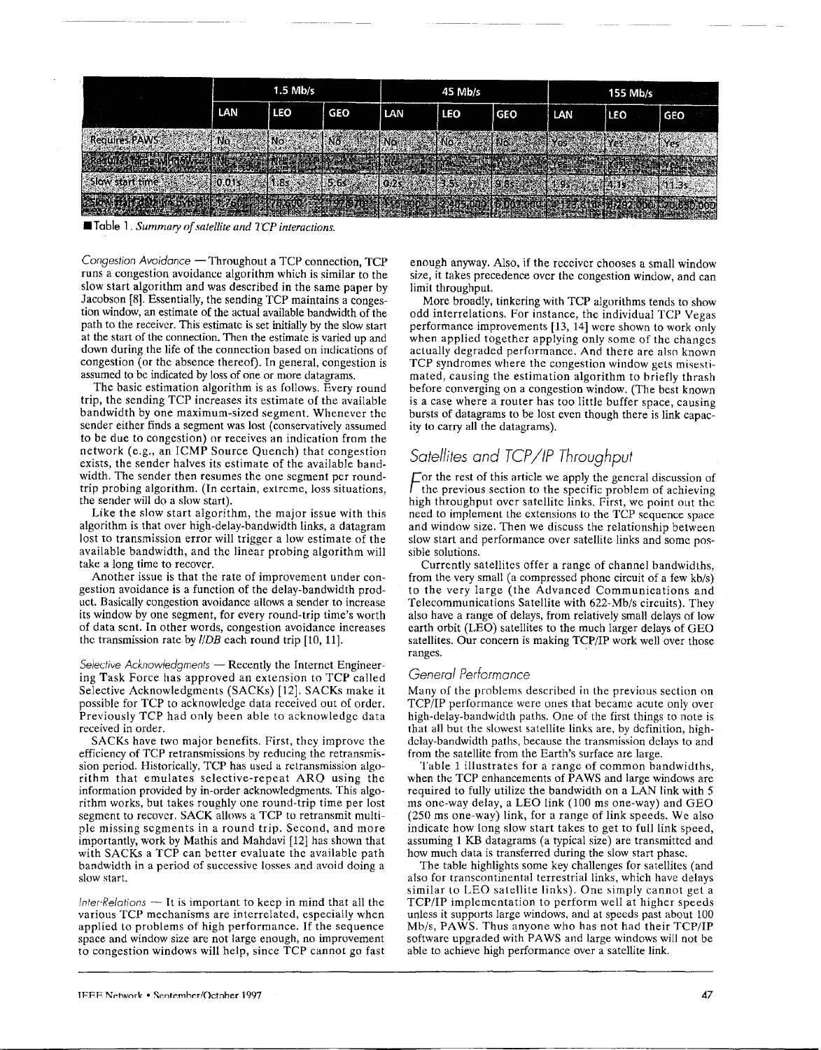|                     | 1.5 Mb/s |                 |                      | 45 Mb/s |     |            | 155 Mb/s                           |     |       |
|---------------------|----------|-----------------|----------------------|---------|-----|------------|------------------------------------|-----|-------|
|                     | LAN      | LEO.            | <b>GEO</b>           | LAN     | LEO | <b>GEO</b> | LAN                                | LEO | GEO   |
| Requires PAWS       | TVO.     | No <sub>2</sub> | AGN                  | $1$ No. |     |            | ING 3 ANG MG 1999 NG 1999          |     | Yes   |
| BERGHERE WHOME TIME |          | Allega          | <b>Barica Second</b> |         |     |            |                                    |     |       |
| Slow start time     | 0.015    | 4185.77         | 3. 5.65 (10.25)      |         |     |            | <b>And Joseph DSS And Joseph D</b> |     | M1 3s |
| 题                   |          |                 |                      |         |     |            |                                    |     |       |

• Table 1 . *Summary of satellite and l'CP interactions.* 

Congestion Avoidance - Throughout a TCP connection, TCP runs a congestion avoidance algorithm which is similar to the slow start algorithm and was described in the same paper by Jacobson [8]. Essentially, the sending TCP maintains a congestion window, an estimate of the actual available bandwidth of the path to the receiver. This estimate is set initially by the slow start at the start of the connection. Then the estimate is varied up and down during the life of the connection based on indications of congestion (or the absence thereof). In general, congestion is assumed to be indicated by loss of one or more datagrams.

The basic estimation algorithm is as follows. Every round trip, the sending TCP increases its estimate of the available bandwidth by one maximum-sized segment. Whenever the sender either finds a segment was lost (conservatively assumed to be due to congestion) or receives an indication from the network (e.g., an ICMP Source Quench) that congestion exists, the sender halves its estimate of the available bandwidth. The sender then resumes the one segment per roundtrip probing algorithm. (In certain, extreme, loss situations, the sender will do a slow start).

Like the slow start algorithm, the major issue with this algorithm is that over high-delay-bandwidth links, a datagram lost to transmission error will trigger a low estimate of the available bandwidth, and the linear probing algorithm will take a long time to recover.

Another issue is that the rate of improvement under congestion avoidance is a function of the delay-bandwidth product. Basically congestion avoidance allows a sender to increase its window by one segment, for every round-trip time's worth of data sent. In other words, congestion avoidance increases the transmission rate by  $I/DB$  each round trip [10, 11].

*Selective Acknowledgments* — Recently the Internet Engineering Task Force has approved an extension to TCP called Selective Acknowledgments (SACKs) [12]. SACKs make it possible for TCP to acknowledge data received out of order. Previously TCP had only been able to acknowledge data received in order.

SACKs have two major benefits. First, they improve the efficiency of TCP retransmissions by reducing the retransmission period. Historically, TCP has used a retransmission algorithm that emulates selective-repeat ARQ using the information provided by in-order acknowledgments. This algorithm works, but takes roughly one round-trip time per lost segment to recover. SACK allows a TCP to retransmit multiple missing segments in a round trip. Second, and more importantly, work by Mathis and Mahdavi [12] has shown that with SACKs a TCP can better evaluate the available path bandwidth in a period of successive losses and avoid doing a slow start.

*Inter-Relations* — It is important to keep in mind that all the various TCP mechanisms are interrelated, especially when applied to problems of high performance. If the sequence space and window size are not large enough, no improvement to congestion windows will help, since TCP cannot go fast enough anyway. Also, if the receiver chooses a small window size, it takes precedence over the congestion window, and can limit throughput.

More broadly, tinkering with TCP algorithms tends to show odd interrelations. For instance, the individual TCP Vegas performance improvements [13, 14] were shown to work only when applied together applying only some of the changes actually degraded performance. And there are also known TCP syndromes where the congestion window gets misestimated, causing the estimation algorithm to briefly thrash before converging on a congestion window. (The best known is a case where a router has too little buffer space, causing bursts of datagrams to be lost even though there is link capacity to carry all the datagrams).

# Satellites and *TCP/IP* Throughput

F*or* the rest of this article we apply the general discussion of the previous section to the specific problem of achieving high throughput over satellite links. First, we point out the need to implement the extensions to the TCP sequence space and window size. Then we discuss the relationship between slow start and performance over satellite links and some possible solutions.

Currently satellites offer a range of channel bandwidths, from the very small (a compressed phone circuit of a few kb/s) to the very large (the Advanced Communications and Telecommunications Satellite with 622-Mb/s circuits). They also have a range of delays, from relatively small delays of low earth orbit (LEO) satellites to the much larger delays of GEO satellites. Our concern is making TCP/IP work well over those ranges.

# *General Performance*

Many of the problems described in the previous section on *TCP/IP* performance were ones that became acute only over high-delay-bandwidth paths. One of the first things to note is that all but the slowest satellite links are, by definition, highdelay-bandwidth paths, because the transmission delays to and from the satellite from the Earth's surface are large.

Table 1 illustrates for a range of common bandwidths, when the TCP enhancements of PAWS and large windows are required to fully utilize the bandwidth on a LAN link with 5 ms one-way delay, a LEO link (100 ms one-way) and GEO (250 ms one-way) link, for a range of link speeds. We also indicate how long slow start takes to get to full link speed, assuming 1 KB datagrams (a typical size) are transmitted and how much data is transferred during the slow start phase.

The table highlights some key challenges for satellites (and also for transcontinental terrestrial links, which have delays similar to LEO satellite links). One simply cannot get a TCP/IP implementation to perform well at higher speeds unless it supports large windows, and at speeds past about 100 Mb/s, PAWS. Thus anyone who has not had their TCP/IP software upgraded with PAWS and large windows will not be able to achieve high performance over a satellite link.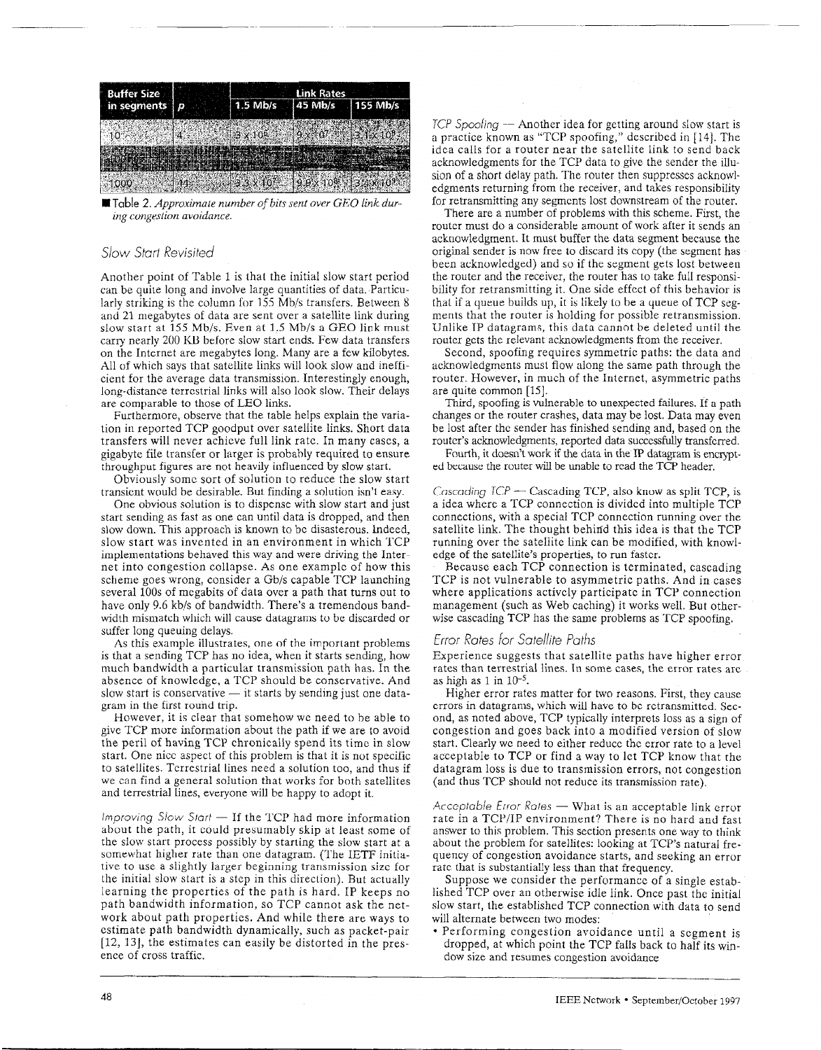| <b>Buffer Size</b> |                     | <b>Link Rates</b>     |          |  |
|--------------------|---------------------|-----------------------|----------|--|
| in segments        | $1.5$ Mb/s          | 45 Mb/s               | 155 Mb/s |  |
|                    |                     |                       |          |  |
|                    | $1.3 \times 10^{6}$ | $9 \times 10^{7}$     |          |  |
|                    |                     |                       |          |  |
| 000                |                     | $9.9 \times 10^{8}$ . |          |  |

• Table 2. *Approximate number of bits sent over GEO link during congestion avoidance.* 

# *Slow Stort Revisited*

Another point of Table 1 is that the initial slow start period can be quite long and involve large quantities of data.Particularly striking is the column for 155 Mb/s transfers. Between 8 and 21 megabytes of data are sent over a satellite link during slow start at 155 Mb/s. Even at 1.5 Mb/s a GEO link must carry nearly 200 KB before slow start ends. Few data transfers on the Internet are megabytes long. Many are a few kilobytes. All of which says that satellite links will look slow and inefficient for the average data transmission. Interestingly enough, long-distance terrestrial links will also look slow. Their delays are comparable to those of LEO links.

Furthermore, observe that the table helps explain the variation in reported TCP goodput over satellite links. Short data transfers will never achieve full link ratc. In many cases, a gigabyte file transfer or larger is probably required to ensure throughput figures are not heavily influenced by slow start.

Obviously some sort of solution to reduce the slow start transient would be desirable. But finding a solution isn't easy.

One obvious solution is to dispense with slow start and just start sending as fast as one can until data is dropped, and then slow down. This approach is known to be disasterous. Indeed, slow start was invented in an environment in which TCP implementations behaved this way and were driving the Internet into congestion collapse. As one example of how this scheme goes wrong, consider a *Obis* capable TCP launching several 100s of megabits of data over a path that turns out to have only 9.6 kb/s of bandwidth. There's a tremendous bandwidth mismatch which will cause datagrams to be discarded or suffer long queuing delays.

As this example illustrates, one of the important problems is that a sending TCP has no idea, when it starts sending, how much bandwidth a particular transmission path has. In the absence of knowledge, a TCP should be conservative. And slow start is conservative  $-$  it starts by sending just one datagram in the first round trip.

However, it is clear that somehow we need to be able to give TCP more information about the path if we are to avoid the peril of having TCP chronically spend its time in slow start. One nice aspect of this problem is that it is not specific to satellites. Terrestrial lines need a solution too, and thus if we can find a general solution that works for both satellites and terrestrial lines, everyone will be happy to adopt it.

*Improving Slow Start* — If the TCP had more information about the path, it could presumably skip at least some of the slow start process possibly by starting the slow start at a somewhat higher rate than one datagram. (The IETF initiative to use a slightly larger beginning transmission size for the initial slow start is a step in this direction). But actually learning the properties of the path is hard. IP keeps no path bandwidth information, so TCP cannot ask the network about path properties. And while there are ways to estimate path bandwidth dynamically, such as packet-pair [12, 13], the estimates can easily be distorted in the presence of cross traffic.

*TCP* Spoofing — Another idea for getting around slow start is a practice known as "TCP spoofing," described in [14]. The idea calls for a router near the satellite link to send back acknowledgments for the TCP data to give the sender the illusion of a short delay path. The router then suppresses acknowledgments returning from the receiver, and takes responsibility for retransmitting any segments lost downstream of the router.

There are a number of problems with this scheme. First, the router must do a considerable amount of work after it sends an acknowledgment. It must buffer the data segment because the original sender is now free to discard its copy (the segment has been acknowledged) and so if the segment gets lost between the router and the receiver, the router has to take full responsibility for retransmitting it. One side effect of this behavior is that if a queue builds up, it is likely to be a queue of TCP segments that the router is holding for possible retransmission. Unlike IP datagrams, this data cannot be deleted until the router gets the relevant acknowledgments from the receiver.

Second, spoofing requires symmetric paths: the data and acknowledgments must flow along the same path through the router. However, in much of the Internet, asymmetric paths are quite common [15].

Third, spoofing is vulnerable to unexpected failures. If a path changes or the router crashes, data may be lost. Data may even be lost after the sender has finished sending and, based on the router's acknowledgments, reported data successfully transferred.

Fourth, it doesn't work if the data in the IP datagram is encrypted because the router will be unable to read the TCP header.

Cascading TCP - Cascading TCP, also know as split TCP, is a idea where a TCP connection is divided into multiple TCP connections, with a special TCP connection running over the satellite link. The thought behind this idea is that the TCP running over the satellite link can be modified, with knowledge of the satellite's properties, to run faster.

Because each TCP connection is terminated, cascading TCP is not vulnerable to asymmetric paths. And in cases where applications actively participate in TCP connection management (such as Web caching) it works well. But otherwise cascading TCP has the same problems as TCP spoofing.

#### *Error Rotes for Sotellite Poths*

Experience suggests that satellite paths have higher error rates than terrestrial lines. In some cases, the error rates are as high as 1 in  $10^{-5}$ .

Higher error rates matter for two reasons. First, they cause errors in datagrams, which will have to bc retransmitted. Second, as noted above, TCP typically interprets loss as a sign of congestion and goes back into a modified version of slow start. Clearly wc need to either reduce the error rate to a level acceptable to TCP or find a way to let TCP know that the datagram loss is due to transmission errors, not congestion (and thus TCP should not reduce its transmission rate).

Accoptable Error Rates - What is an acceptable link error rate in a TCP/IP environment? There is no hard and fast answer to this problem. This section presents one way to think about the problem for satellites: looking at TCP's natural frequency of congestion avoidance starts, and seeking an error ratc that is substantially less than that frequency.

Suppose we consider the performance of a single established TCP over an otherwise idle link. Once past the initial slow start, the established TCP connection with data to send will alternate between two modes:

• Performing congestion avoidance until a segment is dropped, at which point the TCP falls back to half its window size and resumes congestion avoidance